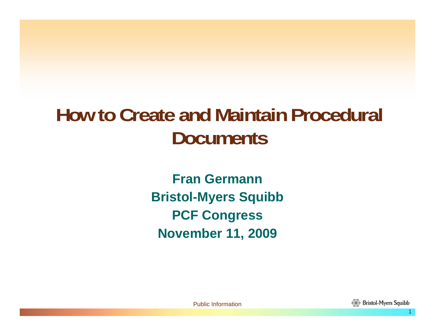### **How to Create and Maintain Procedural Documents**

**Fran GermannBristol-Myers Squibb PCF Congress November 11, 2009**

Public Information

11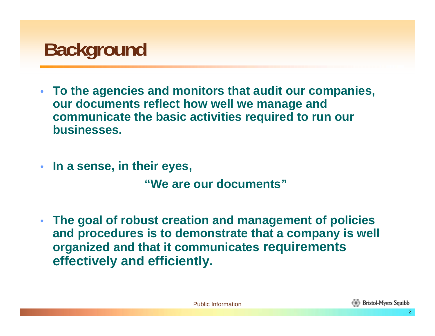# **Background**

- **To the agencies and monitors that audit our companies, our documents reflect how well we manage and communicate the basic activities required to run our businesses.**
- **In a sense, in their eyes,**

**"We are our documents"**

• **The goal of robust creation and management of policies and procedures is to demonstrate that a company is well organized and that it communicates requirements effectively and efficiently.**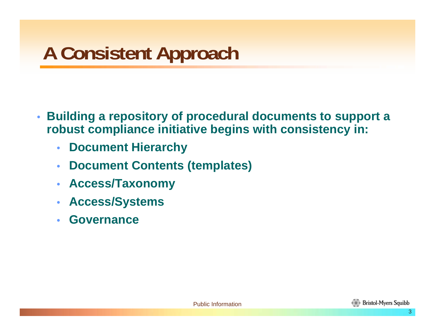- **Building a repository of procedural documents to support a robust compliance initiative begins with consistency in:**
	- **Document Hierarchy**
	- **Document Contents (templates)**
	- **Access/Taxonomy**
	- **Access/Systems**
	- **Governance**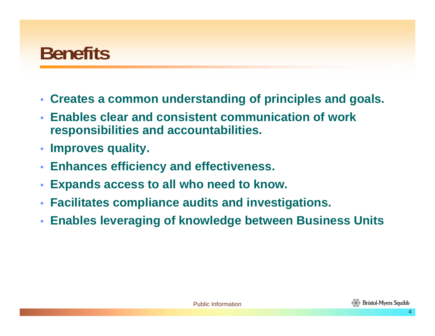#### **Benefits**

- **Creates a common understanding of principles and goals.**
- **Enables clear and consistent communication of work responsibilities and accountabilities.**
- **Improves quality.**
- **Enhances efficiency and effectiveness.**
- **Expands access to all who need to know.**
- **Facilitates compliance audits and investigations.**
- **Enables leveraging of knowledge between Business Units**

**Bristol-Myers Squibb**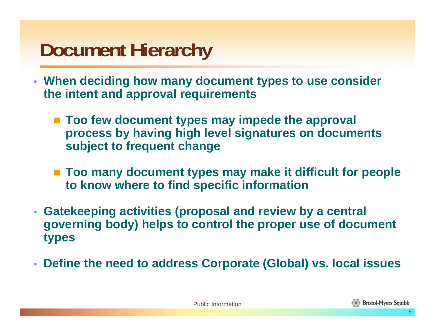# **Document Hierarchy**

- **When deciding how many document types to use consider the intent and approval requirements**
	- Too few document types may impede the approval **process by having high level signatures on documents subject to frequent change**
	- **Too many document types may make it difficult for people to know where to find specific information**
- **Gatekeeping activities (proposal and review by a central governing body) helps to control the proper use of document types**
- **Define the need to address Corporate (Global) vs. local issues**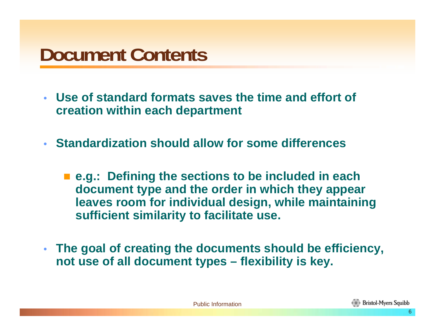# **Document Contents**

- **Use of standard formats saves the time and effort of creation within each department**
- **Standardization should allow for some differences**
	- **e.g.: Defining the sections to be included in each document type and the order in which they appear leaves room for individual design, while maintaining sufficient similarity to facilitate use.**
- **The goal of creating the documents should be efficiency, not use of all document types – flexibility is key.**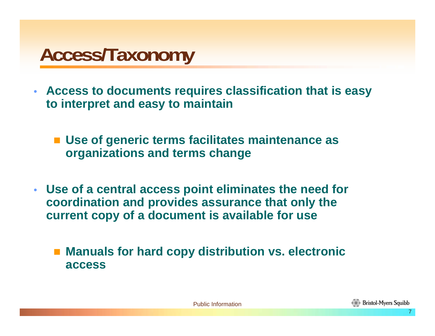### **Access/Taxonomy**

- **Access to documents requires classification that is easy to interpret and easy to maintain**
	- Use of generic terms facilitates maintenance as **organizations and terms change**
- **Use of a central access point eliminates the need for coordination and provides assurance that only the current copy of a document is available for use**

■ Manuals for hard copy distribution vs. electronic **access**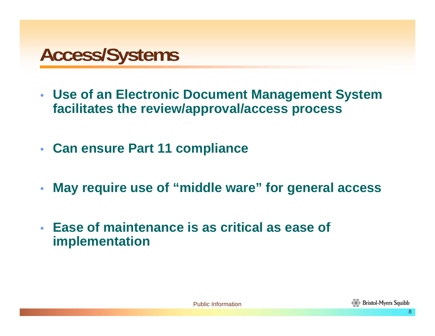### **Access/Systems**

- **Use of an Electronic Document Management System facilitates the review/approval/access process**
- **Can ensure Part 11 compliance**
- **May require use of "middle ware" for general access**
- **Ease of maintenance is as critical as ease of implementation**

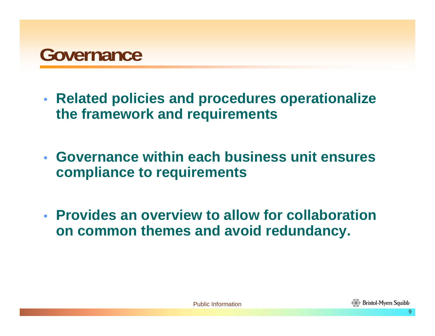

- **Related policies and procedures operationalize the framework and requirements**
- **Governance within each business unit ensures compliance to requirements**
- **Provides an overview to allow for collaboration on common themes and avoid redundancy.**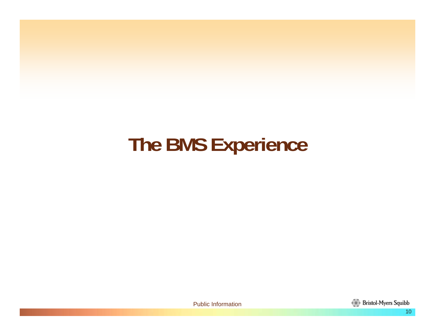# **The BMS Experience**

Public Information

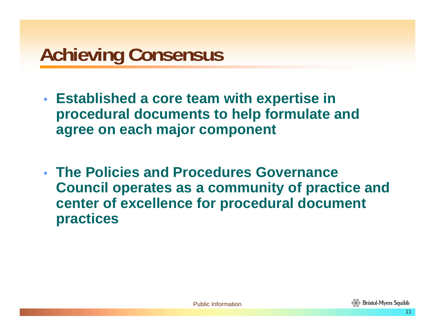# **Achieving Consensus**

- **Established a core team with expertise in procedural documents to help formulate and agree on each major component**
- **The Policies and Procedures Governance Council operates as a community of practice and center of excellence for procedural document practices**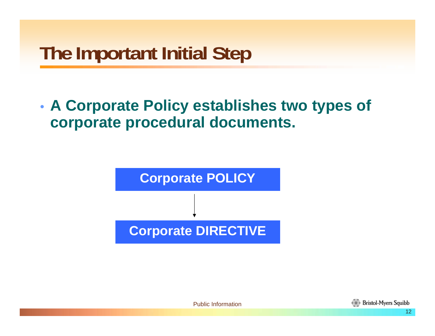# **The Important Initial Step**

#### • **A Corporate Policy establishes two types of corporate procedural documents.**



Public Information

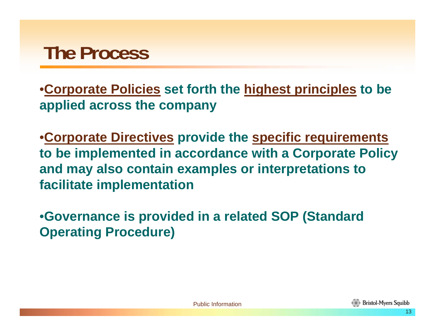### **The Process**

•**Corporate Policies set forth the highest principles to be applied across the company**

•**Corporate Directives provide the specific requirements to be implemented in accordance with a Corporate Policy and may also contain examples or interpretations to facilitate implementation**

•**Governance is provided in a related SOP (Standard Operating Procedure)**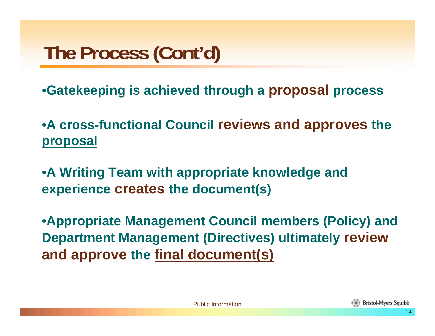# **The Process (Cont'd)**

•**Gatekeeping is achieved through a proposal process**

•**A cross-functional Council reviews and approves the proposal**

•**A Writing Team with appropriate knowledge and experience creates the document(s)**

•**Appropriate Management Council members (Policy) and Department Management (Directives) ultimately review and approve the final document(s)**

**Bristol-Myers Squibb**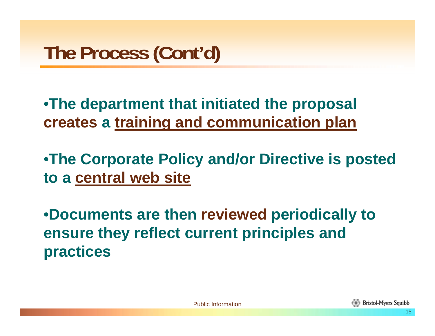•**The department that initiated the proposal creates a training and communication plan**

•**The Corporate Policy and/or Directive is posted to a central web site**

•**Documents are then reviewed periodically to ensure they reflect current principles and practices**

1515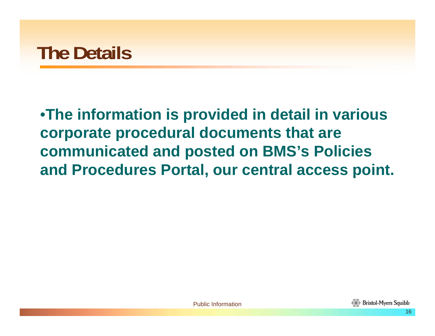#### •**The information is provided in detail in various corporate procedural documents that are communicated and posted on BMS's Policies and Procedures Portal, our central access point.**

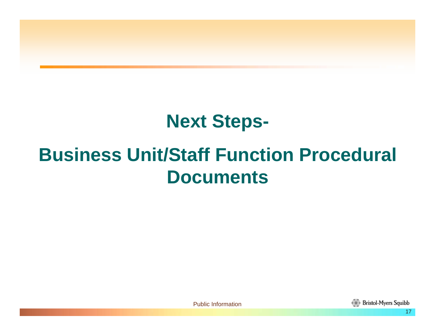#### **Next Steps-**

#### **Business Unit/Staff Function Procedural Documents**



17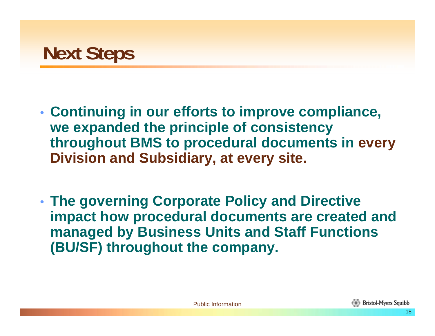

- **Continuing in our efforts to improve compliance, we expanded the principle of consistency throughout BMS to procedural documents in every Division and Subsidiary, at every site.**
- **The governing Corporate Policy and Directive impact how procedural documents are created and managed by Business Units and Staff Functions (BU/SF) throughout the company.**

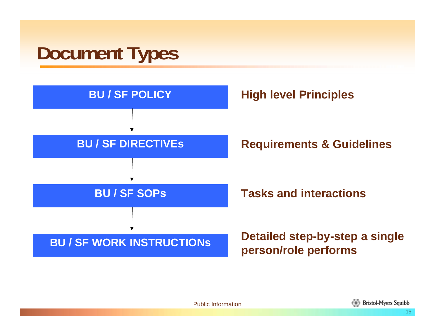# **Document Types**

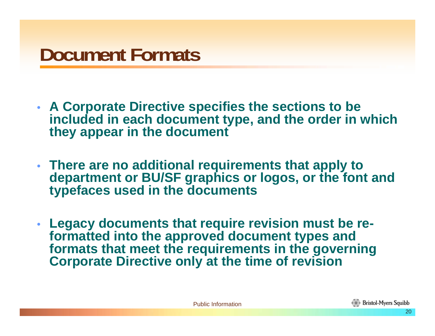# **Document Formats**

- **A Corporate Directive specifies the sections to be included in each document type, and the order in which they appear in the document**
- **There are no additional requirements that apply to department or BU/SF graphics or logos, or the font and typefaces used in the documents**
- **Legacy documents that require revision must be reformatted into the approved document types and formats that meet the requirements in the governing Corporate Directive only at the time of revision**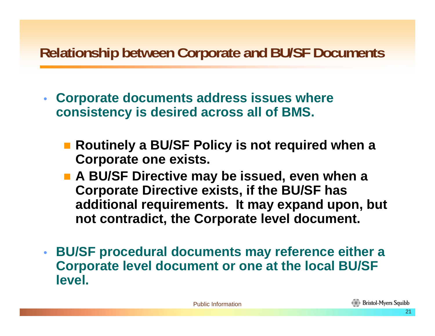#### **Relationship between Corporate and BU/SF Documents**

- **Corporate documents address issues where consistency is desired across all of BMS.** 
	- Routinely a BU/SF Policy is not required when a **Corporate one exists.**
	- **A BU/SF Directive may be issued, even when a Corporate Directive exists, if the BU/SF has additional requirements. It may expand upon, but not contradict, the Corporate level document.**
- **BU/SF procedural documents may reference either a Corporate level document or one at the local BU/SF level.**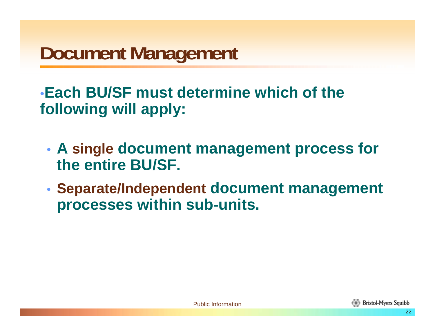# **Document Management**

•**Each BU/SF must determine which of the following will apply:**

- **A single document management process for the entire BU/SF.**
- **Separate/Independent document management processes within sub-units.**

**Bristol-Myers Squibb**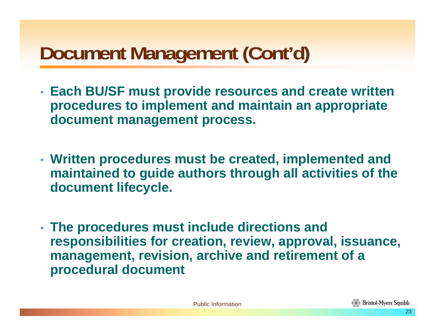# **Document Management (Cont'd)**

- **Each BU/SF must provide resources and create written procedures to implement and maintain an appropriate document management process.**
- **Written procedures must be created, implemented and maintained to guide authors through all activities of the document lifecycle.**
- **The procedures must include directions and responsibilities for creation, review, approval, issuance, management, revision, archive and retirement of a procedural document**